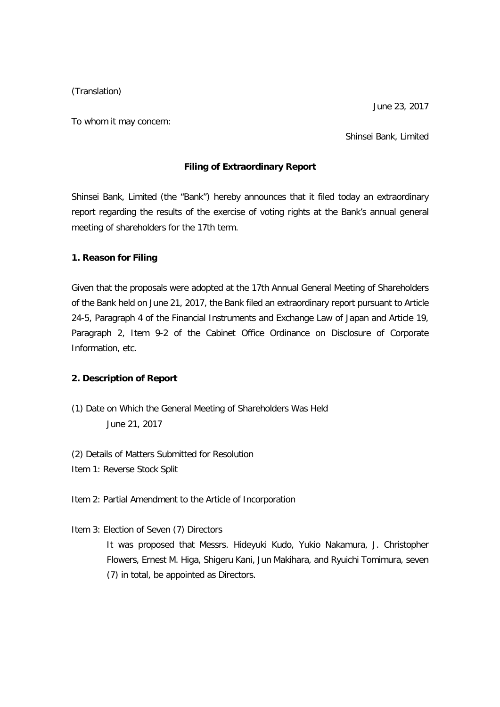(Translation)

To whom it may concern:

June 23, 2017

Shinsei Bank, Limited

## **Filing of Extraordinary Report**

Shinsei Bank, Limited (the "Bank") hereby announces that it filed today an extraordinary report regarding the results of the exercise of voting rights at the Bank's annual general meeting of shareholders for the 17th term.

## **1. Reason for Filing**

Given that the proposals were adopted at the 17th Annual General Meeting of Shareholders of the Bank held on June 21, 2017, the Bank filed an extraordinary report pursuant to Article 24-5, Paragraph 4 of the Financial Instruments and Exchange Law of Japan and Article 19, Paragraph 2, Item 9-2 of the Cabinet Office Ordinance on Disclosure of Corporate Information, etc.

## **2. Description of Report**

(1) Date on Which the General Meeting of Shareholders Was Held June 21, 2017

(2) Details of Matters Submitted for Resolution Item 1: Reverse Stock Split

Item 2: Partial Amendment to the Article of Incorporation

Item 3: Election of Seven (7) Directors

It was proposed that Messrs. Hideyuki Kudo, Yukio Nakamura, J. Christopher Flowers, Ernest M. Higa, Shigeru Kani, Jun Makihara, and Ryuichi Tomimura, seven (7) in total, be appointed as Directors.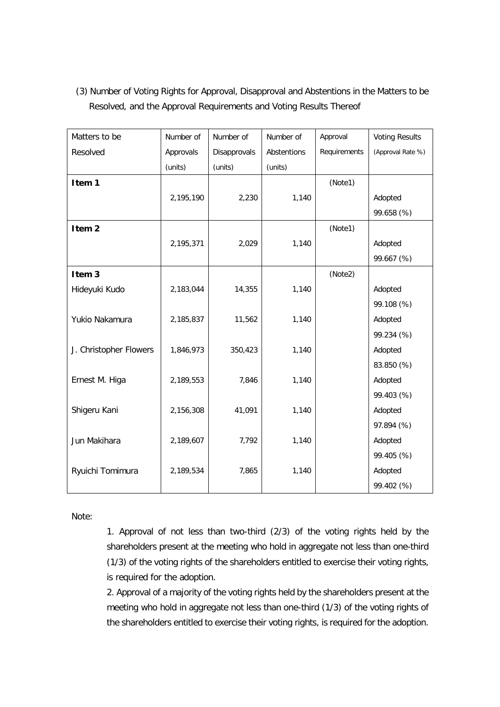| Matters to be          | Number of | Number of    | Number of   | Approval     | <b>Voting Results</b> |
|------------------------|-----------|--------------|-------------|--------------|-----------------------|
| Resolved               | Approvals | Disapprovals | Abstentions | Requirements | (Approval Rate %)     |
|                        | (units)   | (units)      | (units)     |              |                       |
| Item 1                 |           |              |             | (Note1)      |                       |
|                        | 2,195,190 | 2,230        | 1,140       |              | Adopted               |
|                        |           |              |             |              | 99.658 (%)            |
| Item <sub>2</sub>      |           |              |             | (Note1)      |                       |
|                        | 2,195,371 | 2,029        | 1,140       |              | Adopted               |
|                        |           |              |             |              | 99.667 (%)            |
| Item <sub>3</sub>      |           |              |             | (Note2)      |                       |
| Hideyuki Kudo          | 2,183,044 | 14,355       | 1,140       |              | Adopted               |
|                        |           |              |             |              | 99.108 (%)            |
| Yukio Nakamura         | 2,185,837 | 11,562       | 1,140       |              | Adopted               |
|                        |           |              |             |              | 99.234 (%)            |
| J. Christopher Flowers | 1,846,973 | 350,423      | 1,140       |              | Adopted               |
|                        |           |              |             |              | 83.850 (%)            |
| Ernest M. Higa         | 2,189,553 | 7,846        | 1,140       |              | Adopted               |
|                        |           |              |             |              | 99.403 (%)            |
| Shigeru Kani           | 2,156,308 | 41,091       | 1,140       |              | Adopted               |
|                        |           |              |             |              | 97.894 (%)            |
| Jun Makihara           | 2,189,607 | 7,792        | 1,140       |              | Adopted               |
|                        |           |              |             |              | 99.405 (%)            |
| Ryuichi Tomimura       | 2,189,534 | 7,865        | 1,140       |              | Adopted               |
|                        |           |              |             |              | 99.402 (%)            |

(3) Number of Voting Rights for Approval, Disapproval and Abstentions in the Matters to be Resolved, and the Approval Requirements and Voting Results Thereof

Note:

1. Approval of not less than two-third (2/3) of the voting rights held by the shareholders present at the meeting who hold in aggregate not less than one-third (1/3) of the voting rights of the shareholders entitled to exercise their voting rights, is required for the adoption.

2. Approval of a majority of the voting rights held by the shareholders present at the meeting who hold in aggregate not less than one-third (1/3) of the voting rights of the shareholders entitled to exercise their voting rights, is required for the adoption.